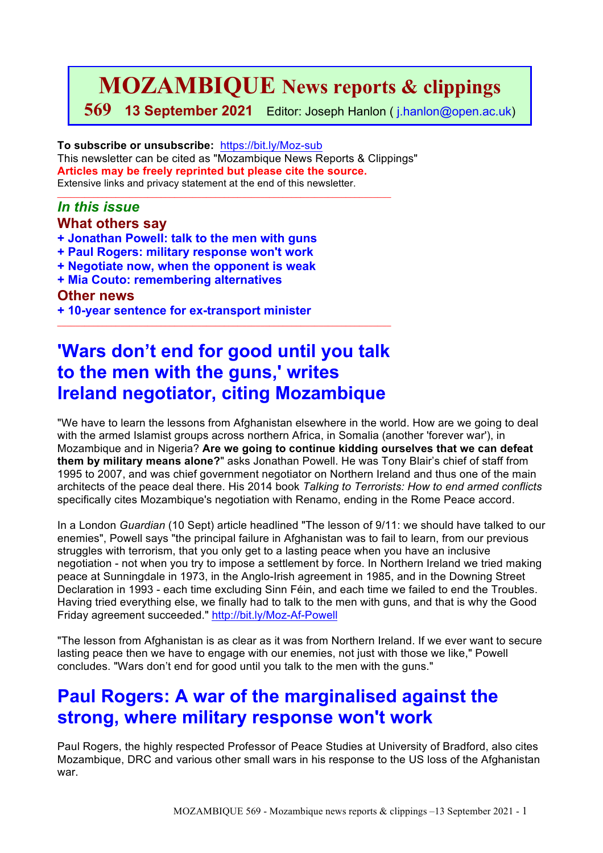# **MOZAMBIQUE News reports & clippings**

**569 13 September 2021** Editor: Joseph Hanlon ( j.hanlon@open.ac.uk)

**To subscribe or unsubscribe:** https://bit.ly/Moz-sub This newsletter can be cited as "Mozambique News Reports & Clippings" **Articles may be freely reprinted but please cite the source.** Extensive links and privacy statement at the end of this newsletter.

 $\mathcal{L}_\text{max}$  , and the set of the set of the set of the set of the set of the set of the set of the set of the set of

## *In this issue*

### **What others say**

- **+ Jonathan Powell: talk to the men with guns**
- **+ Paul Rogers: military response won't work**
- **+ Negotiate now, when the opponent is weak**
- **+ Mia Couto: remembering alternatives**

### **Other news**

**+ 10-year sentence for ex-transport minister**

# **'Wars don't end for good until you talk to the men with the guns,' writes Ireland negotiator, citing Mozambique**

 $\_$  ,  $\_$  ,  $\_$  ,  $\_$  ,  $\_$  ,  $\_$  ,  $\_$  ,  $\_$  ,  $\_$  ,  $\_$  ,  $\_$  ,  $\_$  ,  $\_$  ,  $\_$  ,  $\_$  ,  $\_$  ,  $\_$  ,  $\_$  ,  $\_$  ,  $\_$ 

"We have to learn the lessons from Afghanistan elsewhere in the world. How are we going to deal with the armed Islamist groups across northern Africa, in Somalia (another 'forever war'), in Mozambique and in Nigeria? **Are we going to continue kidding ourselves that we can defeat them by military means alone?**" asks Jonathan Powell. He was Tony Blair's chief of staff from 1995 to 2007, and was chief government negotiator on Northern Ireland and thus one of the main architects of the peace deal there. His 2014 book *Talking to Terrorists: How to end armed conflicts* specifically cites Mozambique's negotiation with Renamo, ending in the Rome Peace accord.

In a London *Guardian* (10 Sept) article headlined "The lesson of 9/11: we should have talked to our enemies". Powell says "the principal failure in Afghanistan was to fail to learn, from our previous struggles with terrorism, that you only get to a lasting peace when you have an inclusive negotiation - not when you try to impose a settlement by force. In Northern Ireland we tried making peace at Sunningdale in 1973, in the Anglo-Irish agreement in 1985, and in the Downing Street Declaration in 1993 - each time excluding Sinn Féin, and each time we failed to end the Troubles. Having tried everything else, we finally had to talk to the men with guns, and that is why the Good Friday agreement succeeded." http://bit.ly/Moz-Af-Powell

"The lesson from Afghanistan is as clear as it was from Northern Ireland. If we ever want to secure lasting peace then we have to engage with our enemies, not just with those we like," Powell concludes. "Wars don't end for good until you talk to the men with the guns."

## **Paul Rogers: A war of the marginalised against the strong, where military response won't work**

Paul Rogers, the highly respected Professor of Peace Studies at University of Bradford, also cites Mozambique, DRC and various other small wars in his response to the US loss of the Afghanistan war.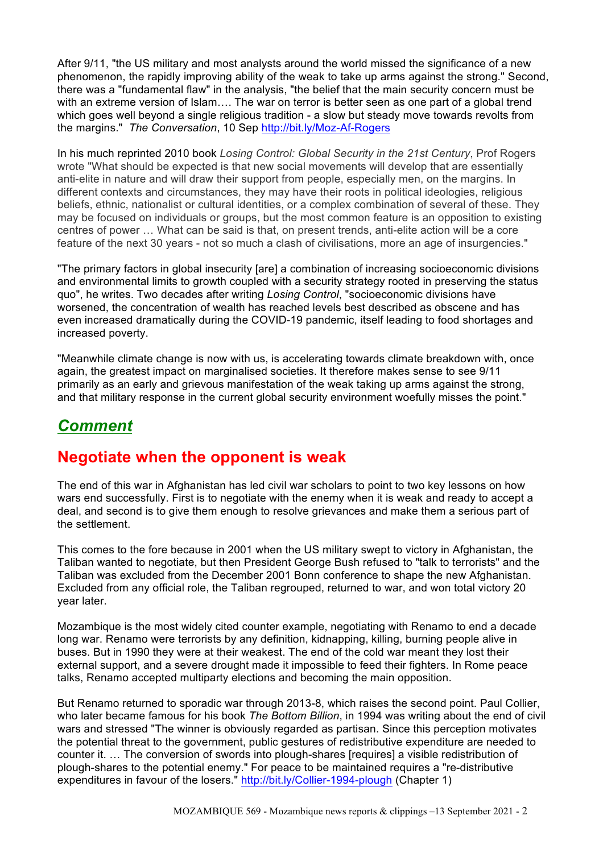After 9/11, "the US military and most analysts around the world missed the significance of a new phenomenon, the rapidly improving ability of the weak to take up arms against the strong." Second, there was a "fundamental flaw" in the analysis, "the belief that the main security concern must be with an extreme version of Islam.... The war on terror is better seen as one part of a global trend which goes well beyond a single religious tradition - a slow but steady move towards revolts from the margins." *The Conversation*, 10 Sep http://bit.ly/Moz-Af-Rogers

In his much reprinted 2010 book *Losing Control: Global Security in the 21st Century*, Prof Rogers wrote "What should be expected is that new social movements will develop that are essentially anti-elite in nature and will draw their support from people, especially men, on the margins. In different contexts and circumstances, they may have their roots in political ideologies, religious beliefs, ethnic, nationalist or cultural identities, or a complex combination of several of these. They may be focused on individuals or groups, but the most common feature is an opposition to existing centres of power … What can be said is that, on present trends, anti-elite action will be a core feature of the next 30 years - not so much a clash of civilisations, more an age of insurgencies."

"The primary factors in global insecurity [are] a combination of increasing socioeconomic divisions and environmental limits to growth coupled with a security strategy rooted in preserving the status quo", he writes. Two decades after writing *Losing Control*, "socioeconomic divisions have worsened, the concentration of wealth has reached levels best described as obscene and has even increased dramatically during the COVID-19 pandemic, itself leading to food shortages and increased poverty.

"Meanwhile climate change is now with us, is accelerating towards climate breakdown with, once again, the greatest impact on marginalised societies. It therefore makes sense to see 9/11 primarily as an early and grievous manifestation of the weak taking up arms against the strong, and that military response in the current global security environment woefully misses the point."

## *Comment*

## **Negotiate when the opponent is weak**

The end of this war in Afghanistan has led civil war scholars to point to two key lessons on how wars end successfully. First is to negotiate with the enemy when it is weak and ready to accept a deal, and second is to give them enough to resolve grievances and make them a serious part of the settlement.

This comes to the fore because in 2001 when the US military swept to victory in Afghanistan, the Taliban wanted to negotiate, but then President George Bush refused to "talk to terrorists" and the Taliban was excluded from the December 2001 Bonn conference to shape the new Afghanistan. Excluded from any official role, the Taliban regrouped, returned to war, and won total victory 20 year later.

Mozambique is the most widely cited counter example, negotiating with Renamo to end a decade long war. Renamo were terrorists by any definition, kidnapping, killing, burning people alive in buses. But in 1990 they were at their weakest. The end of the cold war meant they lost their external support, and a severe drought made it impossible to feed their fighters. In Rome peace talks, Renamo accepted multiparty elections and becoming the main opposition.

But Renamo returned to sporadic war through 2013-8, which raises the second point. Paul Collier, who later became famous for his book *The Bottom Billion*, in 1994 was writing about the end of civil wars and stressed "The winner is obviously regarded as partisan. Since this perception motivates the potential threat to the government, public gestures of redistributive expenditure are needed to counter it. … The conversion of swords into plough-shares [requires] a visible redistribution of plough-shares to the potential enemy." For peace to be maintained requires a "re-distributive expenditures in favour of the losers." http://bit.ly/Collier-1994-plough (Chapter 1)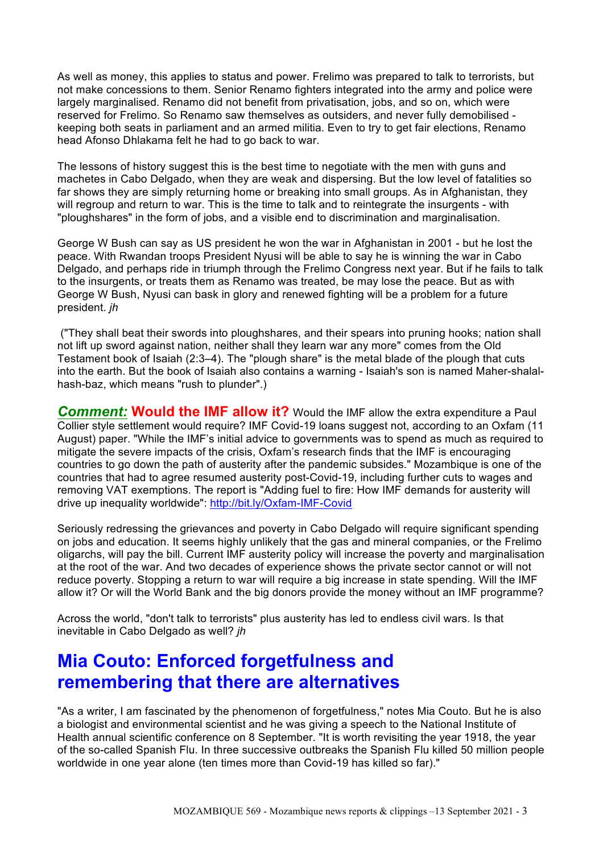As well as money, this applies to status and power. Frelimo was prepared to talk to terrorists, but not make concessions to them. Senior Renamo fighters integrated into the army and police were largely marginalised. Renamo did not benefit from privatisation, jobs, and so on, which were reserved for Frelimo. So Renamo saw themselves as outsiders, and never fully demobilised keeping both seats in parliament and an armed militia. Even to try to get fair elections, Renamo head Afonso Dhlakama felt he had to go back to war.

The lessons of history suggest this is the best time to negotiate with the men with guns and machetes in Cabo Delgado, when they are weak and dispersing. But the low level of fatalities so far shows they are simply returning home or breaking into small groups. As in Afghanistan, they will regroup and return to war. This is the time to talk and to reintegrate the insurgents - with "ploughshares" in the form of jobs, and a visible end to discrimination and marginalisation.

George W Bush can say as US president he won the war in Afghanistan in 2001 - but he lost the peace. With Rwandan troops President Nyusi will be able to say he is winning the war in Cabo Delgado, and perhaps ride in triumph through the Frelimo Congress next year. But if he fails to talk to the insurgents, or treats them as Renamo was treated, be may lose the peace. But as with George W Bush, Nyusi can bask in glory and renewed fighting will be a problem for a future president. *jh*

("They shall beat their swords into ploughshares, and their spears into pruning hooks; nation shall not lift up sword against nation, neither shall they learn war any more" comes from the Old Testament book of Isaiah (2:3–4). The "plough share" is the metal blade of the plough that cuts into the earth. But the book of Isaiah also contains a warning - Isaiah's son is named Maher-shalalhash-baz, which means "rush to plunder".)

*Comment:* **Would the IMF allow it?** Would the IMF allow the extra expenditure a Paul Collier style settlement would require? IMF Covid-19 loans suggest not, according to an Oxfam (11 August) paper. "While the IMF's initial advice to governments was to spend as much as required to mitigate the severe impacts of the crisis, Oxfam's research finds that the IMF is encouraging countries to go down the path of austerity after the pandemic subsides." Mozambique is one of the countries that had to agree resumed austerity post-Covid-19, including further cuts to wages and removing VAT exemptions. The report is "Adding fuel to fire: How IMF demands for austerity will drive up inequality worldwide": http://bit.ly/Oxfam-IMF-Covid

Seriously redressing the grievances and poverty in Cabo Delgado will require significant spending on jobs and education. It seems highly unlikely that the gas and mineral companies, or the Frelimo oligarchs, will pay the bill. Current IMF austerity policy will increase the poverty and marginalisation at the root of the war. And two decades of experience shows the private sector cannot or will not reduce poverty. Stopping a return to war will require a big increase in state spending. Will the IMF allow it? Or will the World Bank and the big donors provide the money without an IMF programme?

Across the world, "don't talk to terrorists" plus austerity has led to endless civil wars. Is that inevitable in Cabo Delgado as well? *jh*

## **Mia Couto: Enforced forgetfulness and remembering that there are alternatives**

"As a writer, I am fascinated by the phenomenon of forgetfulness," notes Mia Couto. But he is also a biologist and environmental scientist and he was giving a speech to the National Institute of Health annual scientific conference on 8 September. "It is worth revisiting the year 1918, the year of the so-called Spanish Flu. In three successive outbreaks the Spanish Flu killed 50 million people worldwide in one year alone (ten times more than Covid-19 has killed so far)."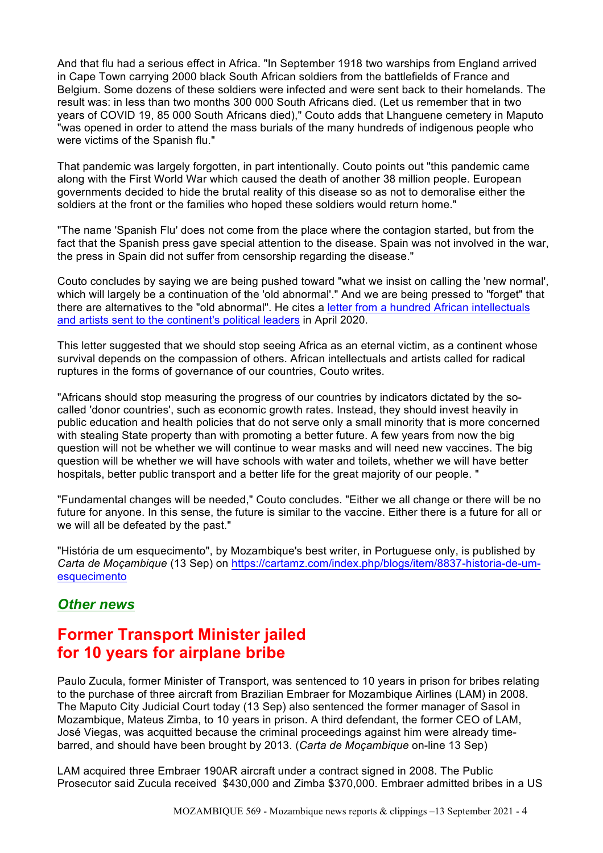And that flu had a serious effect in Africa. "In September 1918 two warships from England arrived in Cape Town carrying 2000 black South African soldiers from the battlefields of France and Belgium. Some dozens of these soldiers were infected and were sent back to their homelands. The result was: in less than two months 300 000 South Africans died. (Let us remember that in two years of COVID 19, 85 000 South Africans died)," Couto adds that Lhanguene cemetery in Maputo "was opened in order to attend the mass burials of the many hundreds of indigenous people who were victims of the Spanish flu."

That pandemic was largely forgotten, in part intentionally. Couto points out "this pandemic came along with the First World War which caused the death of another 38 million people. European governments decided to hide the brutal reality of this disease so as not to demoralise either the soldiers at the front or the families who hoped these soldiers would return home."

"The name 'Spanish Flu' does not come from the place where the contagion started, but from the fact that the Spanish press gave special attention to the disease. Spain was not involved in the war, the press in Spain did not suffer from censorship regarding the disease."

Couto concludes by saying we are being pushed toward "what we insist on calling the 'new normal', which will largely be a continuation of the 'old abnormal'." And we are being pressed to "forget" that there are alternatives to the "old abnormal". He cites a letter from a hundred African intellectuals and artists sent to the continent's political leaders in April 2020.

This letter suggested that we should stop seeing Africa as an eternal victim, as a continent whose survival depends on the compassion of others. African intellectuals and artists called for radical ruptures in the forms of governance of our countries, Couto writes.

"Africans should stop measuring the progress of our countries by indicators dictated by the socalled 'donor countries', such as economic growth rates. Instead, they should invest heavily in public education and health policies that do not serve only a small minority that is more concerned with stealing State property than with promoting a better future. A few years from now the big question will not be whether we will continue to wear masks and will need new vaccines. The big question will be whether we will have schools with water and toilets, whether we will have better hospitals, better public transport and a better life for the great majority of our people. "

"Fundamental changes will be needed," Couto concludes. "Either we all change or there will be no future for anyone. In this sense, the future is similar to the vaccine. Either there is a future for all or we will all be defeated by the past."

"História de um esquecimento", by Mozambique's best writer, in Portuguese only, is published by *Carta de Moçambique* (13 Sep) on https://cartamz.com/index.php/blogs/item/8837-historia-de-umesquecimento

## *Other news*

## **Former Transport Minister jailed for 10 years for airplane bribe**

Paulo Zucula, former Minister of Transport, was sentenced to 10 years in prison for bribes relating to the purchase of three aircraft from Brazilian Embraer for Mozambique Airlines (LAM) in 2008. The Maputo City Judicial Court today (13 Sep) also sentenced the former manager of Sasol in Mozambique, Mateus Zimba, to 10 years in prison. A third defendant, the former CEO of LAM, José Viegas, was acquitted because the criminal proceedings against him were already timebarred, and should have been brought by 2013. (*Carta de Moçambique* on-line 13 Sep)

LAM acquired three Embraer 190AR aircraft under a contract signed in 2008. The Public Prosecutor said Zucula received \$430,000 and Zimba \$370,000. Embraer admitted bribes in a US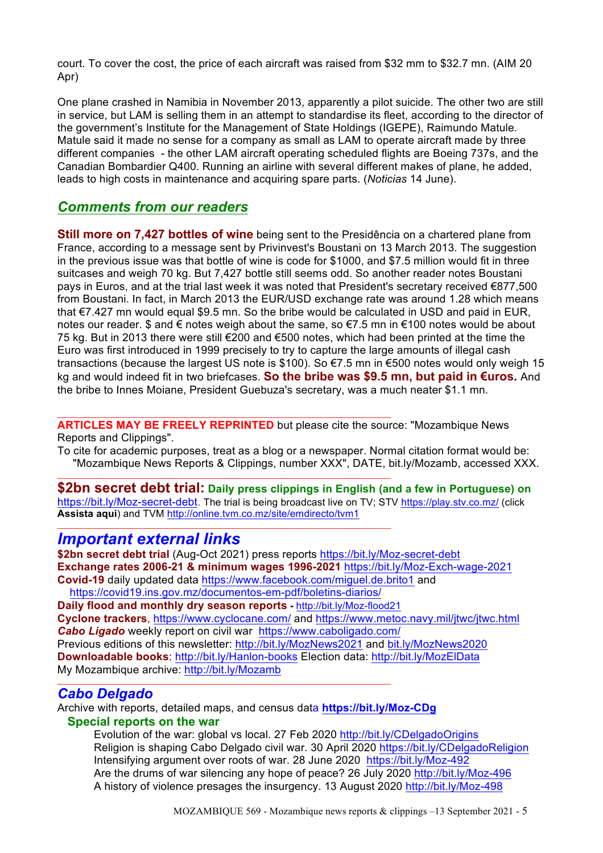court. To cover the cost, the price of each aircraft was raised from \$32 mm to \$32.7 mn. (AIM 20 Apr)

One plane crashed in Namibia in November 2013, apparently a pilot suicide. The other two are still in service, but LAM is selling them in an attempt to standardise its fleet, according to the director of the government's Institute for the Management of State Holdings (IGEPE), Raimundo Matule. Matule said it made no sense for a company as small as LAM to operate aircraft made by three different companies - the other LAM aircraft operating scheduled flights are Boeing 737s, and the Canadian Bombardier Q400. Running an airline with several different makes of plane, he added, leads to high costs in maintenance and acquiring spare parts. (*Noticias* 14 June).

### *Comments from our readers*

**Still more on 7.427 bottles of wine** being sent to the Presidência on a chartered plane from France, according to a message sent by Privinvest's Boustani on 13 March 2013. The suggestion in the previous issue was that bottle of wine is code for \$1000, and \$7.5 million would fit in three suitcases and weigh 70 kg. But 7,427 bottle still seems odd. So another reader notes Boustani pays in Euros, and at the trial last week it was noted that President's secretary received €877,500 from Boustani. In fact, in March 2013 the EUR/USD exchange rate was around 1.28 which means that €7.427 mn would equal \$9.5 mn. So the bribe would be calculated in USD and paid in EUR, notes our reader. \$ and  $\epsilon$  notes weigh about the same, so  $\epsilon$ 7.5 mn in  $\epsilon$ 100 notes would be about 75 kg. But in 2013 there were still €200 and €500 notes, which had been printed at the time the Euro was first introduced in 1999 precisely to try to capture the large amounts of illegal cash transactions (because the largest US note is \$100). So €7.5 mn in €500 notes would only weigh 15 kg and would indeed fit in two briefcases. **So the bribe was \$9.5 mn, but paid in €uros.** And the bribe to Innes Moiane, President Guebuza's secretary, was a much neater \$1.1 mn.

**ARTICLES MAY BE FREELY REPRINTED** but please cite the source: "Mozambique News Reports and Clippings".

 $\_$  ,  $\_$  ,  $\_$  ,  $\_$  ,  $\_$  ,  $\_$  ,  $\_$  ,  $\_$  ,  $\_$  ,  $\_$  ,  $\_$  ,  $\_$  ,  $\_$  ,  $\_$  ,  $\_$  ,  $\_$  ,  $\_$  ,  $\_$  ,  $\_$  ,  $\_$ 

 $\mathcal{L}_\text{max}$  , and the set of the set of the set of the set of the set of the set of the set of the set of the set of

To cite for academic purposes, treat as a blog or a newspaper. Normal citation format would be: "Mozambique News Reports & Clippings, number XXX", DATE, bit.ly/Mozamb, accessed XXX.

**\$2bn secret debt trial: Daily press clippings in English (and a few in Portuguese) on**  https://bit.ly/Moz-secret-debt. The trial is being broadcast live on TV; STV https://play.stv.co.mz/ (click **Assista aqui**) and TVM http://online.tvm.co.mz/site/emdirecto/tvm1  $\mathcal{L}_\text{max}$  , and the set of the set of the set of the set of the set of the set of the set of the set of the set of

## *Important external links*

**\$2bn secret debt trial** (Aug-Oct 2021) press reports https://bit.ly/Moz-secret-debt **Exchange rates 2006-21 & minimum wages 1996-2021** https://bit.ly/Moz-Exch-wage-2021 **Covid-19** daily updated data https://www.facebook.com/miguel.de.brito1 and

 https://covid19.ins.gov.mz/documentos-em-pdf/boletins-diarios/ **Daily flood and monthly dry season reports -** http://bit.ly/Moz-flood21 **Cyclone trackers**, https://www.cyclocane.com/ and https://www.metoc.navy.mil/jtwc/jtwc.html *Cabo Ligado* weekly report on civil war https://www.caboligado.com/ Previous editions of this newsletter: http://bit.ly/MozNews2021 and bit.ly/MozNews2020 **Downloadable books**: http://bit.ly/Hanlon-books Election data: http://bit.ly/MozElData My Mozambique archive: http://bit.ly/Mozamb

### *Cabo Delgado*

Archive with reports, detailed maps, and census data **https://bit.ly/Moz-CDg Special reports on the war**

 $\mathcal{L}_\text{max}$  , and the set of the set of the set of the set of the set of the set of the set of the set of the set of

Evolution of the war: global vs local. 27 Feb 2020 http://bit.ly/CDelgadoOrigins Religion is shaping Cabo Delgado civil war. 30 April 2020 https://bit.ly/CDelgadoReligion Intensifying argument over roots of war. 28 June 2020 https://bit.ly/Moz-492 Are the drums of war silencing any hope of peace? 26 July 2020 http://bit.ly/Moz-496 A history of violence presages the insurgency. 13 August 2020 http://bit.ly/Moz-498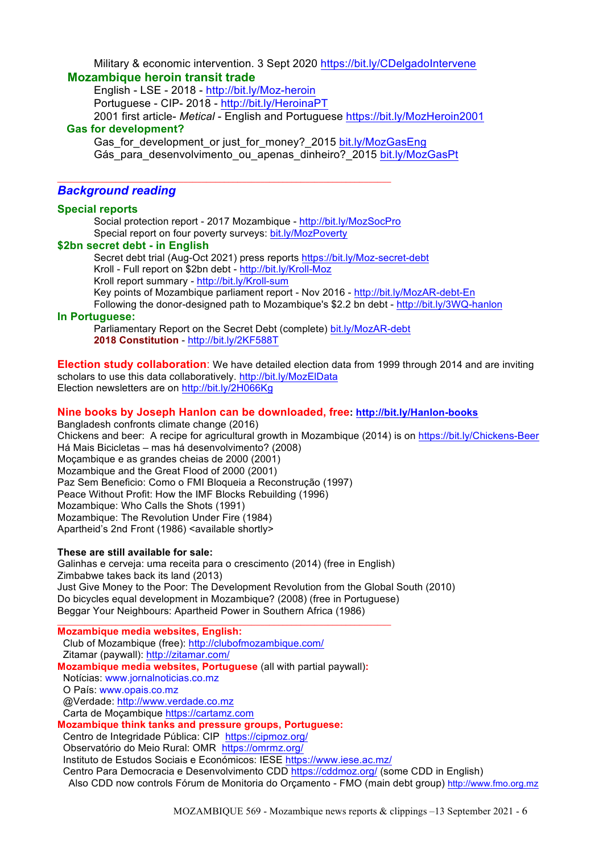#### Military & economic intervention. 3 Sept 2020 https://bit.ly/CDelgadoIntervene  **Mozambique heroin transit trade**

English - LSE - 2018 - http://bit.ly/Moz-heroin Portuguese - CIP- 2018 - http://bit.ly/HeroinaPT 2001 first article- *Metical* - English and Portuguese https://bit.ly/MozHeroin2001  **Gas for development?**

Gas for development or just for money? 2015 bit.ly/MozGasEng Gás para desenvolvimento ou apenas dinheiro? 2015 bit.ly/MozGasPt

#### *Background reading*

#### **Special reports**

Social protection report - 2017 Mozambique - http://bit.ly/MozSocPro Special report on four poverty surveys: bit.ly/MozPoverty

 $\mathcal{L}_\text{max}$  , and the set of the set of the set of the set of the set of the set of the set of the set of the set of

#### **\$2bn secret debt - in English**

Secret debt trial (Aug-Oct 2021) press reports https://bit.ly/Moz-secret-debt Kroll - Full report on \$2bn debt - http://bit.ly/Kroll-Moz Kroll report summary - http://bit.ly/Kroll-sum Key points of Mozambique parliament report - Nov 2016 - http://bit.ly/MozAR-debt-En Following the donor-designed path to Mozambique's \$2.2 bn debt - http://bit.ly/3WQ-hanlon

#### **In Portuguese:**

Parliamentary Report on the Secret Debt (complete) bit.ly/MozAR-debt **2018 Constitution** - http://bit.ly/2KF588T

**Election study collaboration**: We have detailed election data from 1999 through 2014 and are inviting scholars to use this data collaboratively. http://bit.ly/MozElData Election newsletters are on http://bit.ly/2H066Kg

### **Nine books by Joseph Hanlon can be downloaded, free: http://bit.ly/Hanlon-books**

Bangladesh confronts climate change (2016) Chickens and beer: A recipe for agricultural growth in Mozambique (2014) is on https://bit.ly/Chickens-Beer Há Mais Bicicletas – mas há desenvolvimento? (2008) Moçambique e as grandes cheias de 2000 (2001) Mozambique and the Great Flood of 2000 (2001) Paz Sem Beneficio: Como o FMI Bloqueia a Reconstrução (1997) Peace Without Profit: How the IMF Blocks Rebuilding (1996) Mozambique: Who Calls the Shots (1991) Mozambique: The Revolution Under Fire (1984) Apartheid's 2nd Front (1986) <available shortly>

#### **These are still available for sale:**

Galinhas e cerveja: uma receita para o crescimento (2014) (free in English) Zimbabwe takes back its land (2013) Just Give Money to the Poor: The Development Revolution from the Global South (2010) Do bicycles equal development in Mozambique? (2008) (free in Portuguese) Beggar Your Neighbours: Apartheid Power in Southern Africa (1986)

 $\_$  ,  $\_$  ,  $\_$  ,  $\_$  ,  $\_$  ,  $\_$  ,  $\_$  ,  $\_$  ,  $\_$  ,  $\_$  ,  $\_$  ,  $\_$  ,  $\_$  ,  $\_$  ,  $\_$  ,  $\_$  ,  $\_$  ,  $\_$  ,  $\_$  ,  $\_$ **Mozambique media websites, English:** Club of Mozambique (free): http://clubofmozambique.com/ Zitamar (paywall): http://zitamar.com/ **Mozambique media websites, Portuguese** (all with partial paywall)**:** Notícias: www.jornalnoticias.co.mz O País: www.opais.co.mz @Verdade: http://www.verdade.co.mz Carta de Moçambique https://cartamz.com **Mozambique think tanks and pressure groups, Portuguese:** Centro de Integridade Pública: CIP https://cipmoz.org/ Observatório do Meio Rural: OMR https://omrmz.org/ Instituto de Estudos Sociais e Económicos: IESE https://www.iese.ac.mz/

Centro Para Democracia e Desenvolvimento CDD https://cddmoz.org/ (some CDD in English)

Also CDD now controls Fórum de Monitoria do Orçamento - FMO (main debt group) http://www.fmo.org.mz